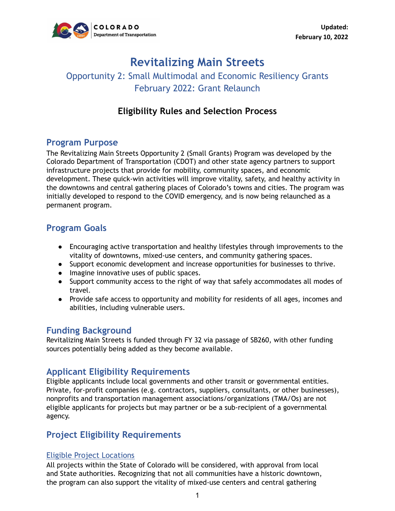

# **Revitalizing Main Streets**

## Opportunity 2: Small Multimodal and Economic Resiliency Grants February 2022: Grant Relaunch

## **Eligibility Rules and Selection Process**

### **Program Purpose**

The Revitalizing Main Streets Opportunity 2 (Small Grants) Program was developed by the Colorado Department of Transportation (CDOT) and other state agency partners to support infrastructure projects that provide for mobility, community spaces, and economic development. These quick-win activities will improve vitality, safety, and healthy activity in the downtowns and central gathering places of Colorado's towns and cities. The program was initially developed to respond to the COVID emergency, and is now being relaunched as a permanent program.

## **Program Goals**

- Encouraging active transportation and healthy lifestyles through improvements to the vitality of downtowns, mixed-use centers, and community gathering spaces.
- Support economic development and increase opportunities for businesses to thrive.
- Imagine innovative uses of public spaces.
- Support community access to the right of way that safely accommodates all modes of travel.
- Provide safe access to opportunity and mobility for residents of all ages, incomes and abilities, including vulnerable users.

#### **Funding Background**

Revitalizing Main Streets is funded through FY 32 via passage of SB260, with other funding sources potentially being added as they become available.

### **Applicant Eligibility Requirements**

Eligible applicants include local governments and other transit or governmental entities. Private, for-profit companies (e.g. contractors, suppliers, consultants, or other businesses), nonprofits and transportation management associations/organizations (TMA/Os) are not eligible applicants for projects but may partner or be a sub-recipient of a governmental agency.

### **Project Eligibility Requirements**

#### Eligible Project Locations

All projects within the State of Colorado will be considered, with approval from local and State authorities. Recognizing that not all communities have a historic downtown, the program can also support the vitality of mixed-use centers and central gathering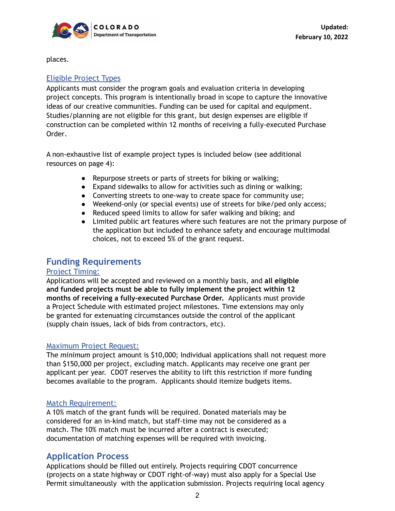

places.

#### Eligible Project Types

Applicants must consider the program goals and evaluation criteria in developing project concepts. This program is intentionally broad in scope to capture the innovative ideas of our creative communities. Funding can be used for capital and equipment. Studies/planning are not eligible for this grant, but design expenses are eligible if construction can be completed within 12 months of receiving a fully-executed Purchase Order.

A non-exhaustive list of example project types is included below (see additional resources on page 4):

- Repurpose streets or parts of streets for biking or walking;
- Expand sidewalks to allow for activities such as dining or walking;
- Converting streets to one-way to create space for community use;
- Weekend-only (or special events) use of streets for bike/ped only access;
- Reduced speed limits to allow for safer walking and biking; and
- Limited public art features where such features are not the primary purpose of the application but included to enhance safety and encourage multimodal choices, not to exceed 5% of the grant request.

### **Funding Requirements**

#### Project Timing:

Applications will be accepted and reviewed on a monthly basis, and **all eligible and funded projects must be able to fully implement the project within 12 months of receiving a fully-executed Purchase Order.** Applicants must provide a Project Schedule with estimated project milestones. Time extensions may only be granted for extenuating circumstances outside the control of the applicant (supply chain issues, lack of bids from contractors, etc).

#### Maximum Project Request:

The *minimum* project amount is \$10,000; Individual applications shall not request more than \$150,000 per project, excluding match. Applicants may receive one grant per applicant per year. CDOT reserves the ability to lift this restriction if more funding becomes available to the program. Applicants should itemize budgets items.

#### Match Requirement:

A 10% match of the grant funds will be required. Donated materials may be considered for an in-kind match, but staff-time may not be considered as a match. The 10% match must be incurred after a contract is executed; documentation of matching expenses will be required with invoicing.

### **Application Process**

Applications should be filled out entirely. Projects requiring CDOT concurrence (projects on a state highway or CDOT right-of-way) must also apply for a Special Use Permit simultaneously with the application submission. Projects requiring local agency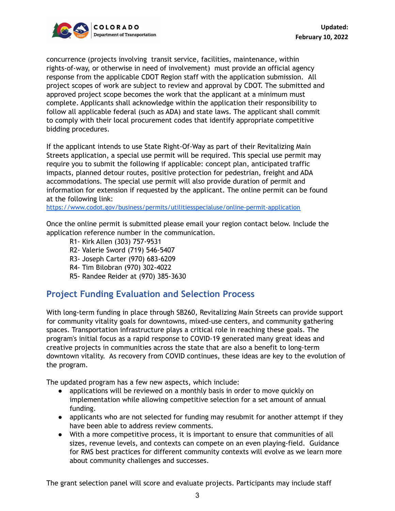

concurrence (projects involving transit service, facilities, maintenance, within rights-of-way, or otherwise in need of involvement) must provide an official agency response from the applicable CDOT Region staff with the application submission. All project scopes of work are subject to review and approval by CDOT. The submitted and approved project scope becomes the work that the applicant at a minimum must complete. Applicants shall acknowledge within the application their responsibility to follow all applicable federal (such as ADA) and state laws. The applicant shall commit to comply with their local procurement codes that identify appropriate competitive bidding procedures.

If the applicant intends to use State Right-Of-Way as part of their Revitalizing Main Streets application, a special use permit will be required. This special use permit may require you to submit the following if applicable: concept plan, anticipated traffic impacts, planned detour routes, positive protection for pedestrian, freight and ADA accommodations. The special use permit will also provide duration of permit and information for extension if requested by the applicant. The online permit can be found at the following link:

<https://www.codot.gov/business/permits/utilitiesspecialuse/online-permit-application>

Once the online permit is submitted please email your region contact below. Include the application reference number in the communication.

- R1- Kirk Allen (303) 757-9531
- R2- Valerie Sword (719) 546-5407
- R3- Joseph Carter (970) 683-6209
- R4- Tim Bilobran (970) 302-4022
- R5- Randee Reider at (970) 385-3630

### **Project Funding Evaluation and Selection Process**

With long-term funding in place through SB260, Revitalizing Main Streets can provide support for community vitality goals for downtowns, mixed-use centers, and community gathering spaces. Transportation infrastructure plays a critical role in reaching these goals. The program's initial focus as a rapid response to COVID-19 generated many great ideas and creative projects in communities across the state that are also a benefit to long-term downtown vitality. As recovery from COVID continues, these ideas are key to the evolution of the program.

The updated program has a few new aspects, which include:

- applications will be reviewed on a monthly basis in order to move quickly on implementation while allowing competitive selection for a set amount of annual funding.
- applicants who are not selected for funding may resubmit for another attempt if they have been able to address review comments.
- With a more competitive process, it is important to ensure that communities of all sizes, revenue levels, and contexts can compete on an even playing-field. Guidance for RMS best practices for different community contexts will evolve as we learn more about community challenges and successes.

The grant selection panel will score and evaluate projects. Participants may include staff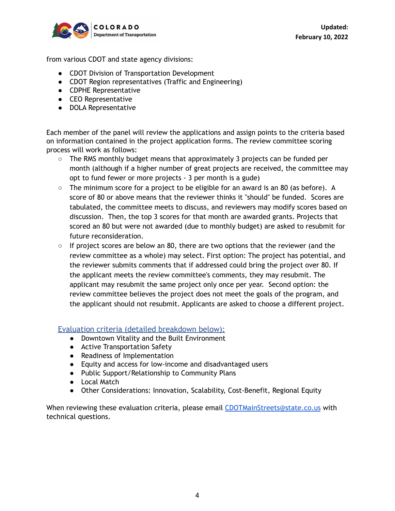

from various CDOT and state agency divisions:

- CDOT Division of Transportation Development
- CDOT Region representatives (Traffic and Engineering)
- CDPHE Representative
- CEO Representative
- DOLA Representative

Each member of the panel will review the applications and assign points to the criteria based on information contained in the project application forms. The review committee scoring process will work as follows:

- The RMS monthly budget means that approximately 3 projects can be funded per month (although if a higher number of great projects are received, the committee may opt to fund fewer or more projects - 3 per month is a gude)
- The minimum score for a project to be eligible for an award is an 80 (as before). A score of 80 or above means that the reviewer thinks it "should" be funded. Scores are tabulated, the committee meets to discuss, and reviewers may modify scores based on discussion. Then, the top 3 scores for that month are awarded grants. Projects that scored an 80 but were not awarded (due to monthly budget) are asked to resubmit for future reconsideration.
- $\circ$  If project scores are below an 80, there are two options that the reviewer (and the review committee as a whole) may select. First option: The project has potential, and the reviewer submits comments that if addressed could bring the project over 80. If the applicant meets the review committee's comments, they may resubmit. The applicant may resubmit the same project only once per year. Second option: the review committee believes the project does not meet the goals of the program, and the applicant should not resubmit. Applicants are asked to choose a different project.

#### Evaluation criteria (detailed breakdown below):

- Downtown Vitality and the Built Environment
- Active Transportation Safety
- Readiness of Implementation
- Equity and access for low-income and disadvantaged users
- Public Support/Relationship to Community Plans
- Local Match
- Other Considerations: Innovation, Scalability, Cost-Benefit, Regional Equity

When reviewing these evaluation criteria, please email [CDOTMainStreets@state.co.us](mailto:CDOTRevitalizingMainStreets@state.co.us) with technical questions.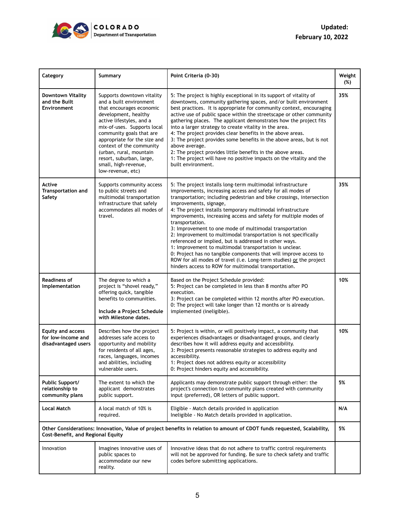

| Category                                                                                                                                                     | Summary                                                                                                                                                                                                                                                                                                                                                          | Point Criteria (0-30)                                                                                                                                                                                                                                                                                                                                                                                                                                                                                                                                                                                                                                                                                                                                                                                                                      | Weight<br>(%) |
|--------------------------------------------------------------------------------------------------------------------------------------------------------------|------------------------------------------------------------------------------------------------------------------------------------------------------------------------------------------------------------------------------------------------------------------------------------------------------------------------------------------------------------------|--------------------------------------------------------------------------------------------------------------------------------------------------------------------------------------------------------------------------------------------------------------------------------------------------------------------------------------------------------------------------------------------------------------------------------------------------------------------------------------------------------------------------------------------------------------------------------------------------------------------------------------------------------------------------------------------------------------------------------------------------------------------------------------------------------------------------------------------|---------------|
| <b>Downtown Vitality</b><br>and the Built<br>Environment                                                                                                     | Supports downtown vitality<br>and a built environment<br>that encourages economic<br>development, healthy<br>active lifestyles, and a<br>mix-of-uses. Supports local<br>community goals that are<br>appropriate for the size and<br>context of the community<br>(urban, rural, mountain<br>resort, suburban, large,<br>small, high-revenue,<br>low-revenue, etc) | 5: The project is highly exceptional in its support of vitality of<br>downtowns, community gathering spaces, and/or built environment<br>best practices. It is appropriate for community context, encouraging<br>active use of public space within the streetscape or other community<br>gathering places. The applicant demonstrates how the project fits<br>into a larger strategy to create vitality in the area.<br>4: The project provides clear benefits in the above areas.<br>3: The project provides some benefits in the above areas, but is not<br>above average.<br>2: The project provides little benefits in the above areas.<br>1: The project will have no positive impacts on the vitality and the<br>built environment.                                                                                                  | 35%           |
| Active<br><b>Transportation and</b><br>Safety                                                                                                                | Supports community access<br>to public streets and<br>multimodal transportation<br>infrastructure that safely<br>accommodates all modes of<br>travel.                                                                                                                                                                                                            | 5: The project installs long-term multimodal infrastructure<br>improvements, increasing access and safety for all modes of<br>transportation; including pedestrian and bike crossings, intersection<br>improvements, signage,<br>4: The project installs temporary multimodal infrastructure<br>improvements, increasing access and safety for multiple modes of<br>transportation.<br>3: Improvement to one mode of multimodal transportation<br>2: Improvement to multimodal transportation is not specifically<br>referenced or implied, but is addressed in other ways.<br>1: Improvement to multimodal transportation is unclear.<br>0: Project has no tangible components that will improve access to<br>ROW for all modes of travel (i.e. Long-term studies) or the project<br>hinders access to ROW for multimodal transportation. | 35%           |
| <b>Readiness of</b><br>Implementation                                                                                                                        | The degree to which a<br>project is "shovel ready,"<br>offering quick, tangible<br>benefits to communities.<br>Include a Project Schedule<br>with Milestone dates.                                                                                                                                                                                               | Based on the Project Schedule provided:<br>5: Project can be completed in less than 8 months after PO<br>execution.<br>3: Project can be completed within 12 months after PO execution.<br>0: The project will take longer than 12 months or is already<br>implemented (ineligible).                                                                                                                                                                                                                                                                                                                                                                                                                                                                                                                                                       | 10%           |
| <b>Equity and access</b><br>for low-income and<br>disadvantaged users                                                                                        | Describes how the project<br>addresses safe access to<br>opportunity and mobility<br>for residents of all ages,<br>races, languages, incomes<br>and abilities, including<br>vulnerable users.                                                                                                                                                                    | 5: Project is within, or will positively impact, a community that<br>experiences disadvantages or disadvantaged groups, and clearly<br>describes how it will address equity and accessibility.<br>3: Project presents reasonable strategies to address equity and<br>accessibility.<br>1: Project does not address equity or accessibility<br>0: Project hinders equity and accessibility.                                                                                                                                                                                                                                                                                                                                                                                                                                                 | 10%           |
| Public Support/<br>relationship to<br>community plans                                                                                                        | The extent to which the<br>applicant demonstrates<br>public support.                                                                                                                                                                                                                                                                                             | Applicants may demonstrate public support through either: the<br>project's connection to community plans created with community<br>input (preferred), OR letters of public support.                                                                                                                                                                                                                                                                                                                                                                                                                                                                                                                                                                                                                                                        | 5%            |
| <b>Local Match</b>                                                                                                                                           | A local match of 10% is<br>required.                                                                                                                                                                                                                                                                                                                             | Eligible - Match details provided in application<br>Ineligible - No Match details provided in application.                                                                                                                                                                                                                                                                                                                                                                                                                                                                                                                                                                                                                                                                                                                                 | N/A           |
| Other Considerations: Innovation, Value of project benefits in relation to amount of CDOT funds requested, Scalability,<br>Cost-Benefit, and Regional Equity |                                                                                                                                                                                                                                                                                                                                                                  |                                                                                                                                                                                                                                                                                                                                                                                                                                                                                                                                                                                                                                                                                                                                                                                                                                            |               |
| Innovation                                                                                                                                                   | Imagines innovative uses of<br>public spaces to<br>accommodate our new<br>reality.                                                                                                                                                                                                                                                                               | Innovative ideas that do not adhere to traffic control requirements<br>will not be approved for funding. Be sure to check safety and traffic<br>codes before submitting applications.                                                                                                                                                                                                                                                                                                                                                                                                                                                                                                                                                                                                                                                      |               |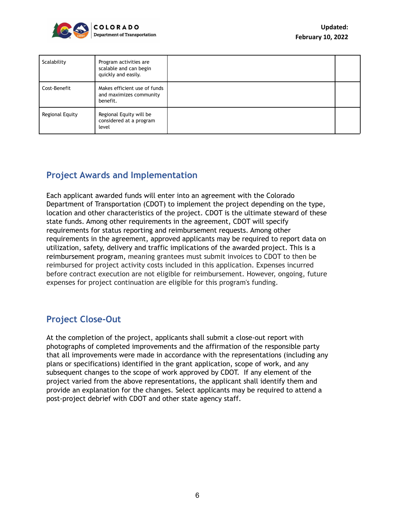

| Scalability     | Program activities are<br>scalable and can begin<br>quickly and easily. |  |
|-----------------|-------------------------------------------------------------------------|--|
| Cost-Benefit    | Makes efficient use of funds<br>and maximizes community<br>benefit.     |  |
| Regional Equity | Regional Equity will be<br>considered at a program<br>level             |  |

## **Project Awards and Implementation**

Each applicant awarded funds will enter into an agreement with the Colorado Department of Transportation (CDOT) to implement the project depending on the type, location and other characteristics of the project. CDOT is the ultimate steward of these state funds. Among other requirements in the agreement, CDOT will specify requirements for status reporting and reimbursement requests. Among other requirements in the agreement, approved applicants may be required to report data on utilization, safety, delivery and traffic implications of the awarded project. This is a reimbursement program, meaning grantees must submit invoices to CDOT to then be reimbursed for project activity costs included in this application. Expenses incurred before contract execution are not eligible for reimbursement. However, ongoing, future expenses for project continuation are eligible for this program's funding.

## **Project Close-Out**

At the completion of the project, applicants shall submit a close-out report with photographs of completed improvements and the affirmation of the responsible party that all improvements were made in accordance with the representations (including any plans or specifications) identified in the grant application, scope of work, and any subsequent changes to the scope of work approved by CDOT. If any element of the project varied from the above representations, the applicant shall identify them and provide an explanation for the changes. Select applicants may be required to attend a post-project debrief with CDOT and other state agency staff.